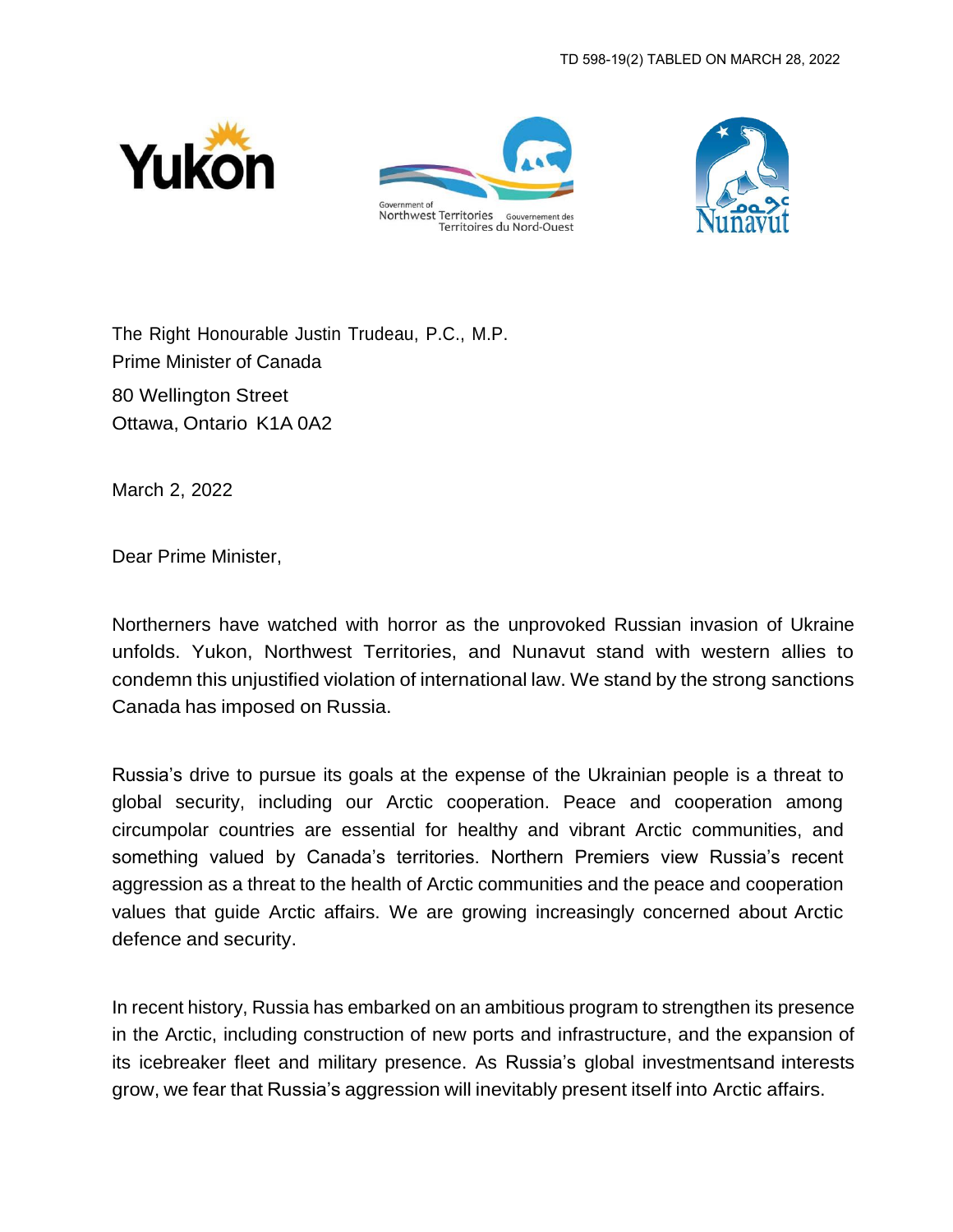





The Right Honourable Justin Trudeau, P.C., M.P. Prime Minister of Canada 80 Wellington Street Ottawa, Ontario K1A 0A2

March 2, 2022

Dear Prime Minister,

Northerners have watched with horror as the unprovoked Russian invasion of Ukraine unfolds. Yukon, Northwest Territories, and Nunavut stand with western allies to condemn this unjustified violation of international law. We stand by the strong sanctions Canada has imposed on Russia.

Russia's drive to pursue its goals at the expense of the Ukrainian people is a threat to global security, including our Arctic cooperation. Peace and cooperation among circumpolar countries are essential for healthy and vibrant Arctic communities, and something valued by Canada's territories. Northern Premiers view Russia's recent aggression as a threat to the health of Arctic communities and the peace and cooperation values that guide Arctic affairs. We are growing increasingly concerned about Arctic defence and security.

In recent history, Russia has embarked on an ambitious program to strengthen its presence in the Arctic, including construction of new ports and infrastructure, and the expansion of its icebreaker fleet and military presence. As Russia's global investmentsand interests grow, we fear that Russia's aggression will inevitably present itself into Arctic affairs.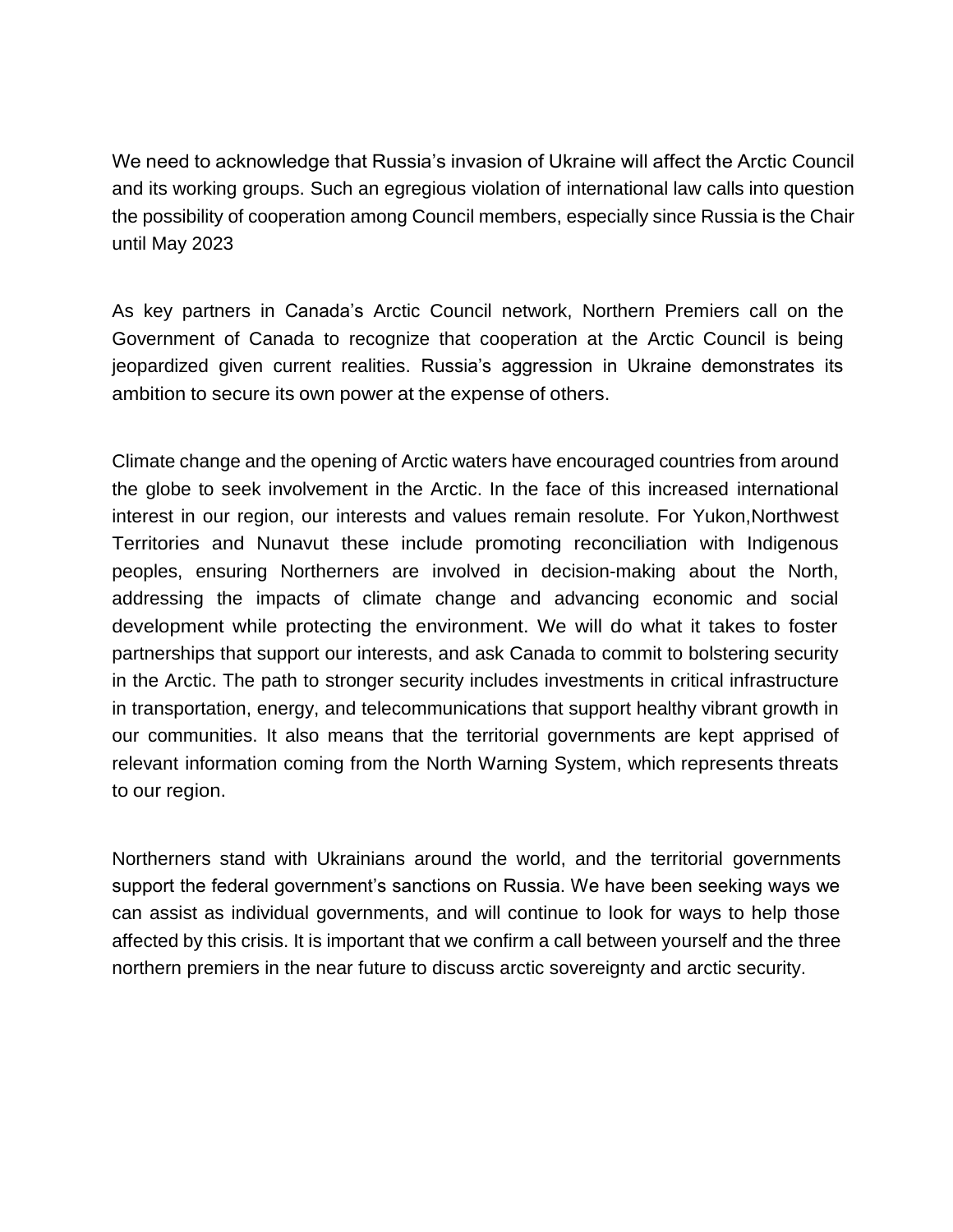We need to acknowledge that Russia's invasion of Ukraine will affect the Arctic Council and its working groups. Such an egregious violation of international law calls into question the possibility of cooperation among Council members, especially since Russia is the Chair until May 2023

As key partners in Canada's Arctic Council network, Northern Premiers call on the Government of Canada to recognize that cooperation at the Arctic Council is being jeopardized given current realities. Russia's aggression in Ukraine demonstrates its ambition to secure its own power at the expense of others.

Climate change and the opening of Arctic waters have encouraged countries from around the globe to seek involvement in the Arctic. In the face of this increased international interest in our region, our interests and values remain resolute. For Yukon,Northwest Territories and Nunavut these include promoting reconciliation with Indigenous peoples, ensuring Northerners are involved in decision-making about the North, addressing the impacts of climate change and advancing economic and social development while protecting the environment. We will do what it takes to foster partnerships that support our interests, and ask Canada to commit to bolstering security in the Arctic. The path to stronger security includes investments in critical infrastructure in transportation, energy, and telecommunications that support healthy vibrant growth in our communities. It also means that the territorial governments are kept apprised of relevant information coming from the North Warning System, which represents threats to our region.

Northerners stand with Ukrainians around the world, and the territorial governments support the federal government's sanctions on Russia. We have been seeking ways we can assist as individual governments, and will continue to look for ways to help those affected by this crisis. It is important that we confirm a call between yourself and the three northern premiers in the near future to discuss arctic sovereignty and arctic security.